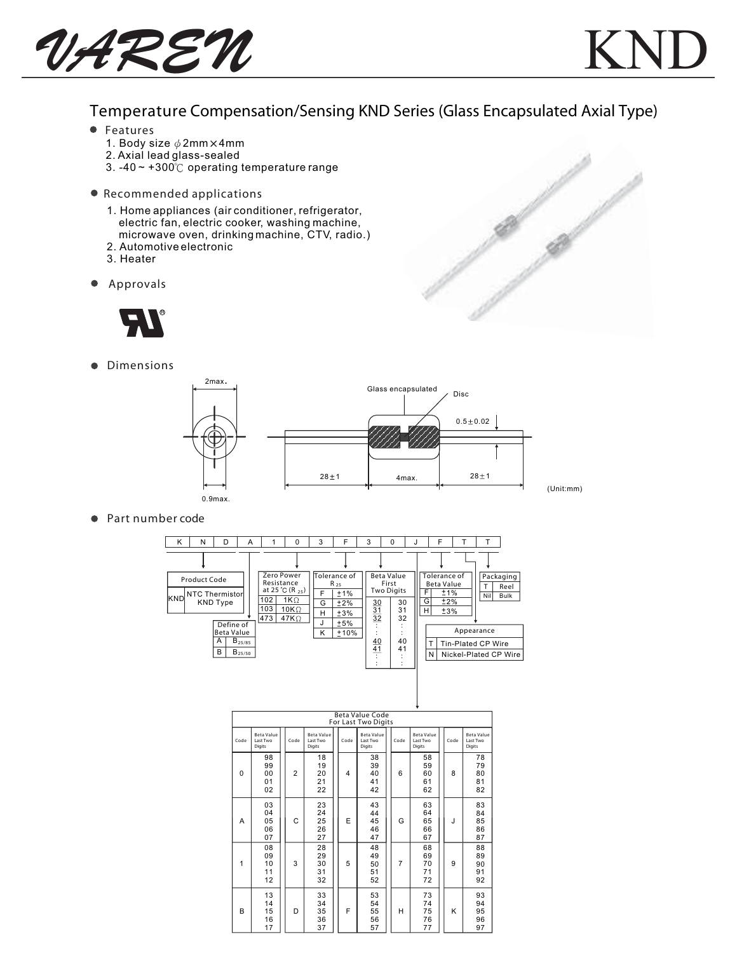UAREN



## Temperature Compensation/Sensing KND Series (Glass Encapsulated Axial Type)

- Features
	- 1. Body size  $\phi$  2mm  $\times$  4mm
	- 2. Axial lead glass-sealed
	- 3. -40  $\sim$  +300 $\degree$ C operating temperature range
- Recommended applications
	- 1. Home appliances (air conditioner, refrigerator, electric fan, electric cooker, washing machine, microwave oven, drinking machine, CTV, radio.)
	- 2. Automotive electronic
	- 3. Heater
- Approvals  $\bullet$



**•** Dimensions



● Part number code

| ĸ                | N                                          | D                       | A           |                                                                        | 0                                        | 3                | F                                                    | 3        | $\Omega$                                                                                   |  |                            | F                                                                    |            |                    |                                  |
|------------------|--------------------------------------------|-------------------------|-------------|------------------------------------------------------------------------|------------------------------------------|------------------|------------------------------------------------------|----------|--------------------------------------------------------------------------------------------|--|----------------------------|----------------------------------------------------------------------|------------|--------------------|----------------------------------|
| lknd             | Product Code<br>NTC Thermistor<br>KND Type |                         |             | Zero Power<br>Resistance<br>at 25 °C (R $_{25}$ )<br>102<br>103<br>473 | $1K\Omega$<br>$10K\Omega$<br>$47K\Omega$ | F<br>G<br>н<br>J | Tolerance of<br>$R_{25}$<br>±1%<br>±2%<br>±3%<br>±5% |          | <b>Beta Value</b><br>First<br><b>Two Digits</b><br>30<br>30<br>$\frac{31}{32}$<br>31<br>32 |  | F<br>G<br>H                | Tolerance of<br><b>Beta Value</b><br>$\overline{11}\%$<br>±2%<br>±3% |            | Nil                | Packaging<br>Reel<br><b>Bulk</b> |
|                  |                                            | Define of<br>Beta Value |             |                                                                        |                                          | ĸ                | $+10%$                                               |          |                                                                                            |  |                            |                                                                      | Appearance |                    |                                  |
|                  |                                            | А                       | $B_{25/85}$ |                                                                        |                                          |                  |                                                      | 40<br>41 | 40<br>41                                                                                   |  |                            |                                                                      |            | Tin-Plated CP Wire |                                  |
| B<br>$B_{25/50}$ |                                            |                         |             |                                                                        |                                          |                  |                                                      |          |                                                                                            |  | N<br>Nickel-Plated CP Wire |                                                                      |            |                    |                                  |
|                  |                                            |                         |             |                                                                        |                                          |                  |                                                      |          |                                                                                            |  |                            |                                                                      |            |                    |                                  |

|          | Beta Value Code<br>For Last Two Digits  |                |                                         |  |      |                                         |  |      |                                         |  |      |                                         |
|----------|-----------------------------------------|----------------|-----------------------------------------|--|------|-----------------------------------------|--|------|-----------------------------------------|--|------|-----------------------------------------|
| Code     | <b>Beta Value</b><br>Last Two<br>Digits | Code           | <b>Beta Value</b><br>Last Two<br>Digits |  | Code | <b>Beta Value</b><br>Last Two<br>Digits |  | Code | <b>Beta Value</b><br>Last Two<br>Digits |  | Code | <b>Beta Value</b><br>Last Two<br>Digits |
| $\Omega$ | 98<br>99<br>00<br>01<br>02              | $\overline{2}$ | 18<br>19<br>20<br>21<br>22              |  | 4    | 38<br>39<br>40<br>41<br>42              |  | 6    | 58<br>59<br>60<br>61<br>62              |  | 8    | 78<br>79<br>80<br>81<br>82              |
| A        | 03<br>04<br>05<br>06<br>07              | C              | 23<br>24<br>25<br>26<br>27              |  | E    | 43<br>44<br>45<br>46<br>47              |  | G    | 63<br>64<br>65<br>66<br>67              |  | J    | 83<br>84<br>85<br>86<br>87              |
| 1        | 08<br>09<br>10<br>11<br>12              | 3              | 28<br>29<br>30<br>31<br>32              |  | 5    | 48<br>49<br>50<br>51<br>52              |  | 7    | 68<br>69<br>70<br>71<br>72              |  | 9    | 88<br>89<br>90<br>91<br>92              |
| B        | 13<br>14<br>15<br>16<br>17              | D              | 33<br>34<br>35<br>36<br>37              |  | F    | 53<br>54<br>55<br>56<br>57              |  | н    | 73<br>74<br>75<br>76<br>77              |  | ĸ    | 93<br>94<br>95<br>96<br>97              |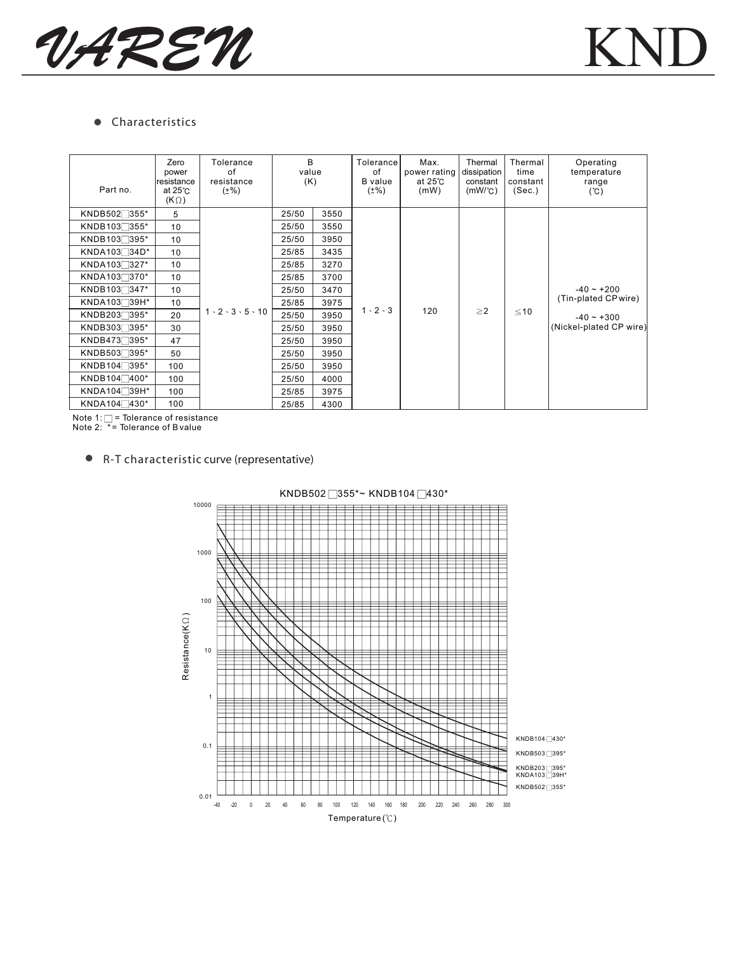

## **•** Characteristics

| Part no.                | Zero<br>power<br>Iresistance<br>at $25^\circ$ C<br>$(K \Omega)$ | Tolerance<br>of<br>resistance<br>$(\pm\%)$ | B<br>value<br>(K) |      | Tolerance<br>of<br><b>B</b> value<br>$(*\%)$ | Max.<br>power rating<br>at $25^\circ$ C<br>(mW) | Thermal<br>dissipation<br>constant<br>$(mW^{\circ}C)$ | Thermal<br>time<br>constant<br>(Sec.) | Operating<br>temperature<br>range<br>(C)                                        |
|-------------------------|-----------------------------------------------------------------|--------------------------------------------|-------------------|------|----------------------------------------------|-------------------------------------------------|-------------------------------------------------------|---------------------------------------|---------------------------------------------------------------------------------|
| KNDB502 355*            | 5                                                               |                                            | 25/50             | 3550 |                                              | 120                                             | $\geq$ 2                                              |                                       | $-40 - +200$<br>(Tin-plated CP wire)<br>$-40 - +300$<br>(Nickel-plated CP wire) |
| KNDB103 355*            | 10                                                              | $1 \cdot 2 \cdot 3 \cdot 5 \cdot 10$       | 25/50             | 3550 | $1 \cdot 2 \cdot 3$                          |                                                 |                                                       | $≤10$                                 |                                                                                 |
| KNDB103 395*            | 10                                                              |                                            | 25/50             | 3950 |                                              |                                                 |                                                       |                                       |                                                                                 |
| KNDA103 <sup>34D*</sup> | 10                                                              |                                            | 25/85             | 3435 |                                              |                                                 |                                                       |                                       |                                                                                 |
| KNDA103 327*            | 10                                                              |                                            | 25/85             | 3270 |                                              |                                                 |                                                       |                                       |                                                                                 |
| KNDA103 370*            | 10                                                              |                                            | 25/85             | 3700 |                                              |                                                 |                                                       |                                       |                                                                                 |
| KNDB103347*             | 10                                                              |                                            | 25/50             | 3470 |                                              |                                                 |                                                       |                                       |                                                                                 |
| KNDA10339H*             | 10                                                              |                                            | 25/85             | 3975 |                                              |                                                 |                                                       |                                       |                                                                                 |
| KNDB203 395*            | 20                                                              |                                            | 25/50             | 3950 |                                              |                                                 |                                                       |                                       |                                                                                 |
| KNDB303 395*            | 30                                                              |                                            | 25/50             | 3950 |                                              |                                                 |                                                       |                                       |                                                                                 |
| KNDB473 395*            | 47                                                              |                                            | 25/50             | 3950 |                                              |                                                 |                                                       |                                       |                                                                                 |
| KNDB503 395*            | 50                                                              |                                            | 25/50             | 3950 |                                              |                                                 |                                                       |                                       |                                                                                 |
| KNDB104 395*            | 100                                                             |                                            | 25/50             | 3950 |                                              |                                                 |                                                       |                                       |                                                                                 |
| KNDB104 400*            | 100                                                             |                                            | 25/50             | 4000 |                                              |                                                 |                                                       |                                       |                                                                                 |
| KNDA104 <sup>39H*</sup> | 100                                                             |                                            | 25/85             | 3975 |                                              |                                                 |                                                       |                                       |                                                                                 |
| KNDA104 430*            | 100                                                             |                                            | 25/85             | 4300 |                                              |                                                 |                                                       |                                       |                                                                                 |

Note 1: □ = Tolerance of resistance<br>Note 2: \*= Tolerance of B value

R-T characteristic curve (representative)



KNDB502 355\*~ KNDB104 430\*